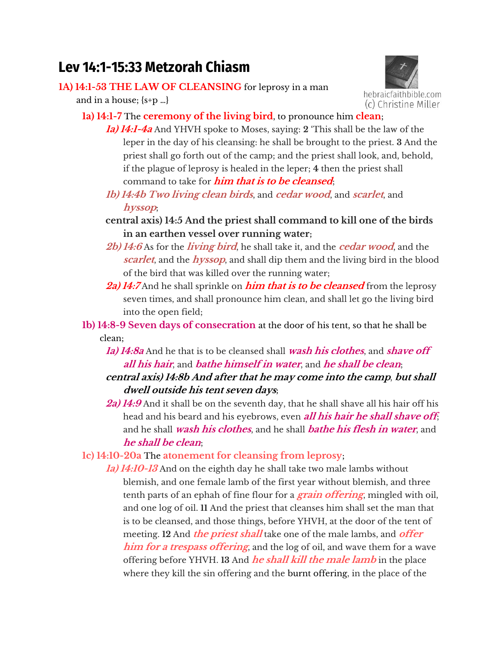## **Lev 14:1-15:33 Metzorah Chiasm**

## **1A) 14:1-53 THE LAW OF CLEANSING** for leprosy in a man

and in a house; {s+p …}



- **1a) 14:1-7** The **ceremony of the living bird**, to pronounce him **clean**;
	- **1a) 14:1-4a** And YHVH spoke to Moses, saying: **2** 'This shall be the law of the leper in the day of his cleansing: he shall be brought to the priest. **3** And the priest shall go forth out of the camp; and the priest shall look, and, behold, if the plague of leprosy is healed in the leper; **4** then the priest shall command to take for **him that is to be cleansed**;
	- **1b) 14:4b Two living clean birds**, and **cedar wood**, and **scarlet**, and **hyssop**;
	- **central axis) 14:5 And the priest shall command to kill one of the birds in an earthen vessel over running water;**
	- **2b) 14:6** As for the **living bird**, he shall take it, and the **cedar wood**, and the **scarlet**, and the **hyssop**, and shall dip them and the living bird in the blood of the bird that was killed over the running water;
	- **2a) 14:7** And he shall sprinkle on **him that is to be cleansed** from the leprosy seven times, and shall pronounce him clean, and shall let go the living bird into the open field;
- **1b) 14:8-9 Seven days of consecration** at the door of his tent, so that he shall be clean;
	- **1a) 14:8a** And he that is to be cleansed shall **wash his clothes**, and **shave off all his hair**, and **bathe himself in water**, and **he shall be clean**;
	- **central axis) 14:8b And after that he may come into the camp**, **but shall dwell outside his tent seven days;**
	- **2a) 14:9** And it shall be on the seventh day, that he shall shave all his hair off his head and his beard and his eyebrows, even **all his hair he shall shave off**; and he shall **wash his clothes**, and he shall **bathe his flesh in water**, and **he shall be clean**;

**1c) 14:10-20a** The **atonement for cleansing from leprosy**;

**1a) 14:10-13** And on the eighth day he shall take two male lambs without blemish, and one female lamb of the first year without blemish, and three tenth parts of an ephah of fine flour for a **grain offering**, mingled with oil, and one log of oil. **11** And the priest that cleanses him shall set the man that is to be cleansed, and those things, before YHVH, at the door of the tent of meeting. **12** And **the priest shall** take one of the male lambs, and **offer him for a trespass offering**, and the log of oil, and wave them for a wave offering before YHVH. **13** And **he shall kill the male lamb** in the place where they kill the sin offering and the burnt offering, in the place of the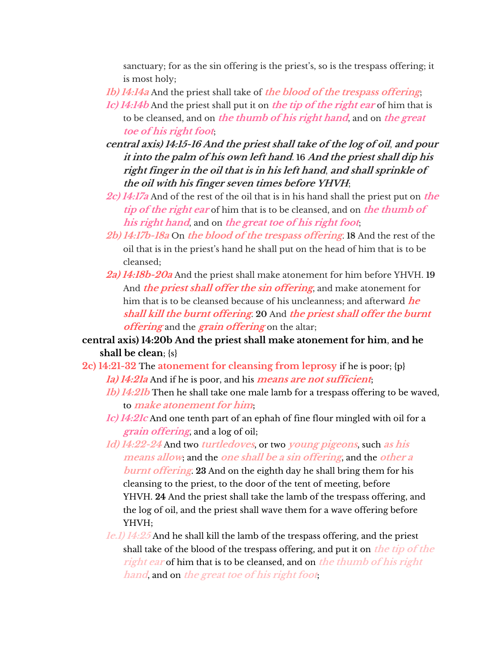sanctuary; for as the sin offering is the priest's, so is the trespass offering; it is most holy;

**1b) 14:14a** And the priest shall take of **the blood of the trespass offering**;

- **1c) 14:14b** And the priest shall put it on **the tip of the right ear** of him that is to be cleansed, and on **the thumb of his right hand**, and on **the great toe of his right foot**;
- **central axis) 14:15-16 And the priest shall take of the log of oil**, **and pour it into the palm of his own left hand**. **16 And the priest shall dip his right finger in the oil that is in his left hand**, **and shall sprinkle of the oil with his finger seven times before YHVH**;
- **2c) 14:17a** And of the rest of the oil that is in his hand shall the priest put on **the tip of the right ear** of him that is to be cleansed, and on **the thumb of his right hand**, and on **the great toe of his right foot**;
- **2b) 14:17b-18a** On **the blood of the trespass offering**. **18** And the rest of the oil that is in the priest's hanq he shall put on the heaq of him that is to be cleansed;
- **2a) 14:18b-20a** And the priest shall make atonement for him before YHVH. **19** And **the priest shall offer the sin offering**, and make atonement for him that is to be cleansed because of his uncleanness; and afterward **he shall kill the burnt offering**. **20** And **the priest shall offer the burnt offering** and the **grain offering** on the altar;

**central axis) 14:20b And the priest shall make atonement for him**, **and he shall be clean**; {s}

**2c) 14:21-32** The **atonement for cleansing from leprosy** if he is poor; {p} **1a) 14:21a** And if he is poor, and his **means are not sufficient**;

- **1b) 14:21b** Then he shall take one male lamb for a trespass offering to be waved, to **make atonement for him**;
- **1c) 14:21c** And one tenth part of an ephah of fine flour mingled with oil for a **grain offering**, and a log of oil;
- **1d) 14:22-24** And two **turtledoves**, or two **young pigeons**, such **as his means allow**; and the **one shall be a sin offering**, and the **other a burnt offering**. **23** And on the eighth day he shall bring them for his cleansing to the priest, to the door of the tent of meeting, before YHVH. **24** And the priest shall take the lamb of the trespass offering, and the log of oil, and the priest shall wave them for a wave offering before YHVH;
- **1e.1) 14:25** And he shall kill the lamb of the trespass offering, and the priest shall take of the blood of the trespass offering, and put it on **the tip of the right ear** of him that is to be cleansed, and on **the thumb of his right hand**, and on **the great toe of his right foot**;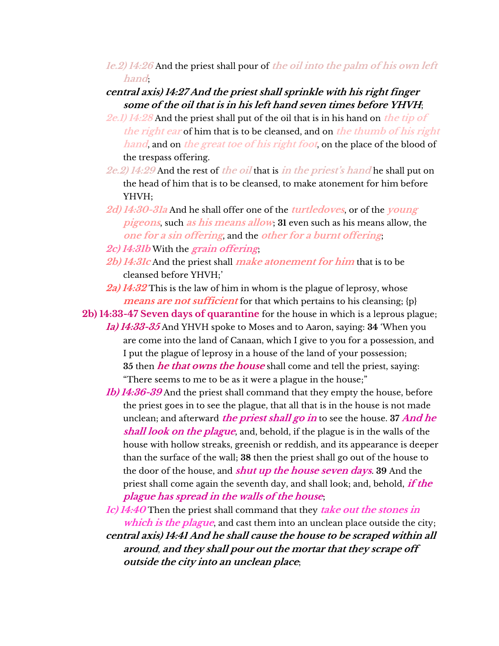**1e.2) 14:26** And the priest shall pour of **the oil into the palm of his own left hand**;

## **central axis) 14:27 And the priest shall sprinkle with his right finger some of the oil that is in his left hand seven times before YHVH**;

- **2e.1) 14:28** And the priest shall put of the oil that is in his hand on **the tip of the right ear** of him that is to be cleansed, and on **the thumb of his right hand**, and on **the great toe of his right foot**, on the place of the blood of the trespass offering.
- **2e.2) 14:29** And the rest of **the oil** that is **in the priest's hand** he shall put on the head of him that is to be cleansed, to make atonement for him before YHVH;
- **2d) 14:30-31a** And he shall offer one of the **turtledoves**, or of the **young pigeons**, such **as his means allow**; **31** even such as his means allow, the **one for a sin offering**, and the **other for a burnt offering**;
- **2c) 14:31b** With the **grain offering**;
- **2b) 14:31c** And the priest shall **make atonement for him** that is to be cleansed before YHVH;'
- **2a) 14:32** This is the law of him in whom is the plague of leprosy, whose **means are not sufficient** for that which pertains to his cleansing; {p}

**2b) 14:33-47 Seven days of quarantine** for the house in which is a leprous plague;

- **1a) 14:33-35** And YHVH spoke to Moses and to Aaron, saying: **34** 'When you are come into the land of Canaan, which I give to you for a possession, and I put the plague of leprosy in a house of the land of your possession; **35** then **he that owns the house** shall come and tell the priest, saying: "There seems to me to be as it were a plague in the house;"
- **1b) 14:36-39** And the priest shall command that they empty the house, before the priest goes in to see the plague, that all that is in the house is not made unclean; and afterward **the priest shall go in** to see the house. **37 And he shall look on the plague**, and, behold, if the plague is in the walls of the house with hollow streaks, greenish or reddish, and its appearance is deeper than the surface of the wall; **38** then the priest shall go out of the house to the door of the house, and **shut up the house seven days**. **39** And the priest shall come again the seventh day, and shall look; and, behold, **if the plague has spread in the walls of the house**;

**1c) 14:40** Then the priest shall command that they **take out the stones in which is the plague**, and cast them into an unclean place outside the city; **central axis) 14:41 And he shall cause the house to be scraped within all around**, **and they shall pour out the mortar that they scrape off outside the city into an unclean place**;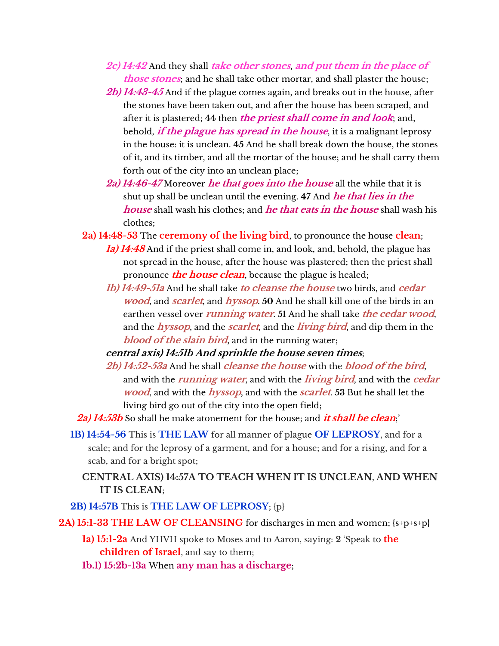- **2c) 14:42** And they shall **take other stones**, **and put them in the place of those stones**; and he shall take other mortar, and shall plaster the house;
- **2b) 14:43-45** And if the plague comes again, and breaks out in the house, after the stones have been taken out, and after the house has been scraped, and after it is plastered; **44** then **the priest shall come in and look**; and, behold, **if the plague has spread in the house**, it is a malignant leprosy in the house: it is unclean. **45** And he shall break down the house, the stones of it, and its timber, and all the mortar of the house; and he shall carry them forth out of the city into an unclean place;
- **2a) 14:46-47** Moreover **he that goes into the house** all the while that it is shut up shall be unclean until the evening. **47** And **he that lies in the house** shall wash his clothes; and **he that eats in the house** shall wash his clothes;
- **2a) 14:48-53** The **ceremony of the living bird**, to pronounce the house **clean**; **1a) 14:48** And if the priest shall come in, and look, and, behold, the plague has not spread in the house, after the house was plastered; then the priest shall pronounce **the house clean**, because the plague is healed;
	- **1b) 14:49-51a** And he shall take **to cleanse the house** two birds, and **cedar wood**, and **scarlet**, and **hyssop**. **50** And he shall kill one of the birds in an earthen vessel over **running water**. **51** And he shall take **the cedar wood**, and the **hyssop**, and the **scarlet**, and the **living bird**, and dip them in the **blood of the slain bird**, and in the running water;
	- **central axis) 14:51b And sprinkle the house seven times**;
	- **2b) 14:52-53a** And he shall **cleanse the house** with the **blood of the bird**, and with the **running water**, and with the **living bird**, and with the **cedar wood**, and with the **hyssop**, and with the **scarlet**. **53** But he shall let the living bird go out of the city into the open field;
- **2a) 14:53b** So shall he make atonement for the house; and **it shall be clean**;'
- **1B) 14:54-56** This is **THE LAW** for all manner of plague **OF LEPROSY**, and for a scale; and for the leprosy of a garment, and for a house; and for a rising, and for a scab, and for a bright spot;
	- **CENTRAL AXIS) 14:57A TO TEACH WHEN IT IS UNCLEAN, AND WHEN IT IS CLEAN**;
- **2B) 14:57B** This is **THE LAW OF LEPROSY**; {p}

**2A) 15:1-33 THE LAW OF CLEANSING** for discharges in men and women; {s+p+s+p}

- **1a) 15:1-2a** And YHVH spoke to Moses and to Aaron, saying: **2** 'Speak to **the children of Israel**, and say to them;
- **1b.1) 15:2b-13a** When **any man has a discharge**;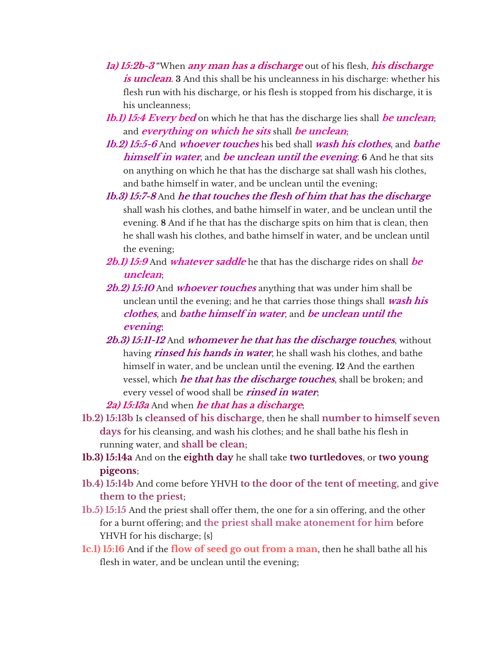- **1a) 15:2b-3** "When **any man has a discharge** out of his flesh, **his discharge**  *is unclean*. **3** And this shall be his uncleanness in his discharge: whether his flesh run with his discharge, or his flesh is stopped from his discharge, it is his uncleanness;
- **1b.1) 15:4 Every bed** on which he that has the discharge lies shall **be unclean**; and **everything on which he sits** shall **be unclean**;
- **1b.2) 15:5-6** And **whoever touches** his bed shall **wash his clothes**, and **bathe himself in water**, and **be unclean until the evening**. **6** And he that sits on anything on which he that has the discharge sat shall wash his clothes, and bathe himself in water, and be unclean until the evening;
- **1b.3) 15:7-8** And **he that touches the flesh of him that has the discharge** shall wash his clothes, and bathe himself in water, and be unclean until the evening. **8** And if he that has the discharge spits on him that is clean, then he shall wash his clothes, and bathe himself in water, and be unclean until the evening;
- **2b.1) 15:9** And **whatever saddle** he that has the discharge rides on shall **be unclean**;
- **2b.2) 15:10** And **whoever touches** anything that was under him shall be unclean until the evening; and he that carries those things shall **wash his clothes**, and **bathe himself in water**, and **be unclean until the evening**;
- **2b.3) 15:11-12** And **whomever he that has the discharge touches**, without having **rinsed his hands in water**, he shall wash his clothes, and bathe himself in water, and be unclean until the evening. **12** And the earthen vessel, which **he that has the discharge touches**, shall be broken; and every vessel of wood shall be **rinsed in water**;

**2a) 15:13a** And when **he that has a discharge**;

- **1b.2) 15:13b** Is **cleansed of his discharge**, then he shall **number to himself seven days** for his cleansing, and wash his clothes; and he shall bathe his flesh in running water, and **shall be clean**;
- **1b.3) 15:14a** And on the **eighth day** he shall take **two turtledoves**, or **two young pigeons**;
- **1b.4) 15:14b** And come before YHVH **to the door of the tent of meeting**, and **give them to the priest**;
- **1b.5) 15:15** And the priest shall offer them, the one for a sin offering, and the other for a burnt offering; and **the priest shall make atonement for him** before YHVH for his discharge; {s}
- **1c.1) 15:16** And if the **flow of seed go out from a man**, then he shall bathe all his flesh in water, and be unclean until the evening;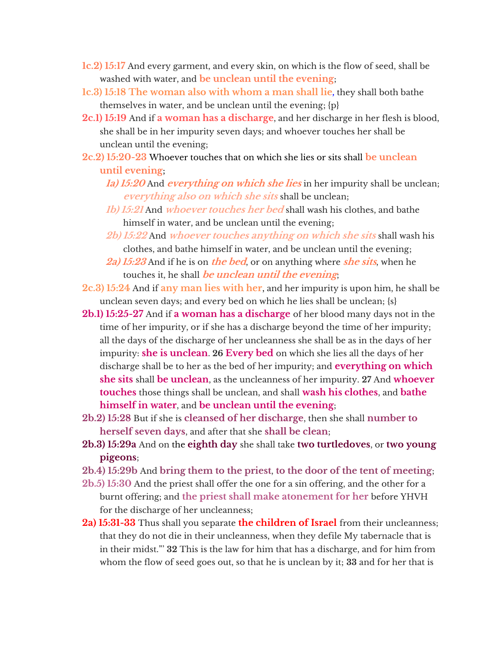- **1c.2) 15:17** And every garment, and every skin, on which is the flow of seed, shall be washed with water, and **be unclean until the evening**;
- **1c.3) 15:18 The woman also with whom a man shall lie,** they shall both bathe themselves in water, and be unclean until the evening; {p}
- **2c.1) 15:19** And if **a woman has a discharge**, and her discharge in her flesh is blood, she shall be in her impurity seven days; and whoever touches her shall be unclean until the evening;
- **2c.2) 15:20-23** Whoever touches that on which she lies or sits shall **be unclean until evening**;
	- **1a) 15:20** And **everything on which she lies** in her impurity shall be unclean; **everything also on which she sits** shall be unclean;
	- **1b) 15:21** And **whoever touches her bed** shall wash his clothes, and bathe himself in water, and be unclean until the evening;
	- **2b) 15:22** And **whoever touches anything on which she sits** shall wash his clothes, and bathe himself in water, and be unclean until the evening;
	- **2a) 15:23** And if he is on **the bed**, or on anything where **she sits**, when he touches it, he shall **be unclean until the evening**;

**2c.3) 15:24** And if **any man lies with her**, and her impurity is upon him, he shall be unclean seven days; and every bed on which he lies shall be unclean; {s}

- **2b.1) 15:25-27** And if **a woman has a discharge** of her blood many days not in the time of her impurity, or if she has a discharge beyond the time of her impurity; all the days of the discharge of her uncleanness she shall be as in the days of her impurity: **she is unclean**. **26 Every bed** on which she lies all the days of her discharge shall be to her as the bed of her impurity; and **everything on which she sits** shall **be unclean**, as the uncleanness of her impurity. **27** And **whoever touches** those things shall be unclean, and shall **wash his clothes**, and **bathe himself in water**, and **be unclean until the evening**;
- **2b.2) 15:28** But if she is **cleansed of her discharge**, then she shall **number to herself seven days**, and after that she **shall be clean**;
- **2b.3) 15:29a** And on the **eighth day** she shall take **two turtledoves**, or **two young pigeons**;
- **2b.4) 15:29b** And **bring them to the priest**, **to the door of the tent of meeting**;
- **2b.5) 15:30** And the priest shall offer the one for a sin offering, and the other for a burnt offering; and **the priest shall make atonement for her** before YHVH for the discharge of her uncleanness;
- **2a) 15:31-33** Thus shall you separate **the children of Israel** from their uncleanness; that they do not die in their uncleanness, when they defile My tabernacle that is in their midst."' **32** This is the law for him that has a discharge, and for him from whom the flow of seed goes out, so that he is unclean by it; **33** and for her that is